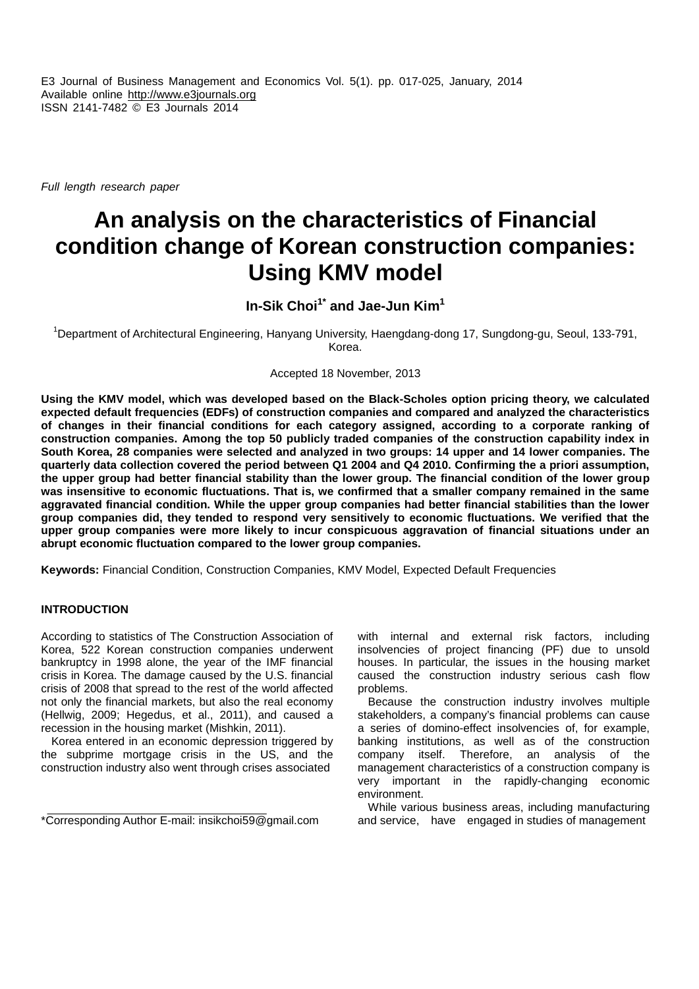E3 Journal of Business Management and Economics Vol. 5(1). pp. 017-025, January, 2014 Available online http://www.e3journals.org ISSN 2141-7482 © E3 Journals 2014

*Full length research paper*

# **An analysis on the characteristics of Financial condition change of Korean construction companies: Using KMV model**

**In-Sik Choi1\* and Jae-Jun Kim<sup>1</sup>**

<sup>1</sup>Department of Architectural Engineering, Hanyang University, Haengdang-dong 17, Sungdong-gu, Seoul, 133-791, Korea.

Accepted 18 November, 2013

**Using the KMV model, which was developed based on the Black-Scholes option pricing theory, we calculated expected default frequencies (EDFs) of construction companies and compared and analyzed the characteristics of changes in their financial conditions for each category assigned, according to a corporate ranking of construction companies. Among the top 50 publicly traded companies of the construction capability index in South Korea, 28 companies were selected and analyzed in two groups: 14 upper and 14 lower companies. The quarterly data collection covered the period between Q1 2004 and Q4 2010. Confirming the a priori assumption, the upper group had better financial stability than the lower group. The financial condition of the lower group was insensitive to economic fluctuations. That is, we confirmed that a smaller company remained in the same aggravated financial condition. While the upper group companies had better financial stabilities than the lower group companies did, they tended to respond very sensitively to economic fluctuations. We verified that the upper group companies were more likely to incur conspicuous aggravation of financial situations under an abrupt economic fluctuation compared to the lower group companies.**

**Keywords:** Financial Condition, Construction Companies, KMV Model, Expected Default Frequencies

# **INTRODUCTION**

According to statistics of The Construction Association of Korea, 522 Korean construction companies underwent bankruptcy in 1998 alone, the year of the IMF financial crisis in Korea. The damage caused by the U.S. financial crisis of 2008 that spread to the rest of the world affected not only the financial markets, but also the real economy (Hellwig, 2009; Hegedus, et al., 2011), and caused a recession in the housing market (Mishkin, 2011).

Korea entered in an economic depression triggered by the subprime mortgage crisis in the US, and the construction industry also went through crises associated

\*Corresponding Author E-mail: insikchoi59@gmail.com

with internal and external risk factors, including insolvencies of project financing (PF) due to unsold houses. In particular, the issues in the housing market caused the construction industry serious cash flow problems.

Because the construction industry involves multiple stakeholders, a company's financial problems can cause a series of domino-effect insolvencies of, for example, banking institutions, as well as of the construction company itself. Therefore, an analysis of the management characteristics of a construction company is very important in the rapidly-changing economic environment.

While various business areas, including manufacturing and service, have engaged in studies of management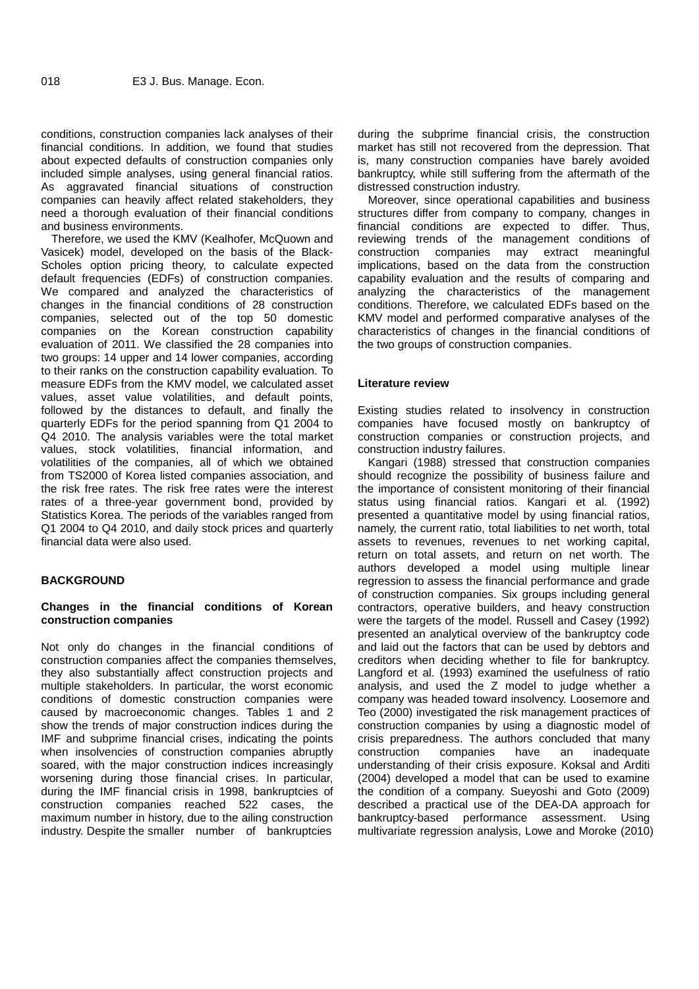conditions, construction companies lack analyses of their financial conditions. In addition, we found that studies about expected defaults of construction companies only included simple analyses, using general financial ratios. As aggravated financial situations of construction companies can heavily affect related stakeholders, they need a thorough evaluation of their financial conditions and business environments.

Therefore, we used the KMV (Kealhofer, McQuown and Vasicek) model, developed on the basis of the Black- Scholes option pricing theory, to calculate expected default frequencies (EDFs) of construction companies. We compared and analyzed the characteristics of changes in the financial conditions of 28 construction companies, selected out of the top 50 domestic companies on the Korean construction capability evaluation of 2011. We classified the 28 companies into two groups: 14 upper and 14 lower companies, according to their ranks on the construction capability evaluation. To measure EDFs from the KMV model, we calculated asset values, asset value volatilities, and default points, followed by the distances to default, and finally the quarterly EDFs for the period spanning from Q1 2004 to Q4 2010. The analysis variables were the total market values, stock volatilities, financial information, and volatilities of the companies, all of which we obtained from TS2000 of Korea listed companies association, and the risk free rates. The risk free rates were the interest rates of a three-year government bond, provided by Statistics Korea. The periods of the variables ranged from Q1 2004 to Q4 2010, and daily stock prices and quarterly financial data were also used.

# **BACKGROUND**

# **Changes in the financial conditions of Korean construction companies**

Not only do changes in the financial conditions of construction companies affect the companies themselves, they also substantially affect construction projects and multiple stakeholders. In particular, the worst economic conditions of domestic construction companies were caused by macroeconomic changes. Tables 1 and 2 show the trends of major construction indices during the IMF and subprime financial crises, indicating the points when insolvencies of construction companies abruptly construction soared, with the major construction indices increasingly worsening during those financial crises. In particular, during the IMF financial crisis in 1998, bankruptcies of construction companies reached 522 cases, the maximum number in history, due to the ailing construction industry. Despite the smaller number of bankruptcies

during the subprime financial crisis, the construction market has still not recovered from the depression. That is, many construction companies have barely avoided bankruptcy, while still suffering from the aftermath of the distressed construction industry.

Moreover, since operational capabilities and business structures differ from company to company, changes in financial conditions are expected to differ. Thus, reviewing trends of the management conditions of construction companies may extract meaningful implications, based on the data from the construction capability evaluation and the results of comparing and analyzing the characteristics of the management conditions. Therefore, we calculated EDFs based on the KMV model and performed comparative analyses of the characteristics of changes in the financial conditions of the two groups of construction companies.

# **Literature review**

Existing studies related to insolvency in construction companies have focused mostly on bankruptcy of construction companies or construction projects, and construction industry failures.

Kangari (1988) stressed that construction companies should recognize the possibility of business failure and the importance of consistent monitoring of their financial status using financial ratios. Kangari et al. (1992) presented a quantitative model by using financial ratios, namely, the current ratio, total liabilities to net worth, total assets to revenues, revenues to net working capital, return on total assets, and return on net worth. The authors developed a model using multiple linear regression to assess the financial performance and grade of construction companies. Six groups including general contractors, operative builders, and heavy construction were the targets of the model. Russell and Casey (1992) presented an analytical overview of the bankruptcy code and laid out the factors that can be used by debtors and creditors when deciding whether to file for bankruptcy. Langford et al. (1993) examined the usefulness of ratio analysis, and used the Z model to judge whether a company was headed toward insolvency. Loosemore and Teo (2000) investigated the risk management practices of construction companies by using a diagnostic model of crisis preparedness. The authors concluded that many companies have an inadequate understanding of their crisis exposure. Koksal and Arditi (2004) developed a model that can be used to examine the condition of a company. Sueyoshi and Goto (2009) described a practical use of the DEA-DA approach for bankruptcy-based performance assessment. Using multivariate regression analysis, Lowe and Moroke (2010)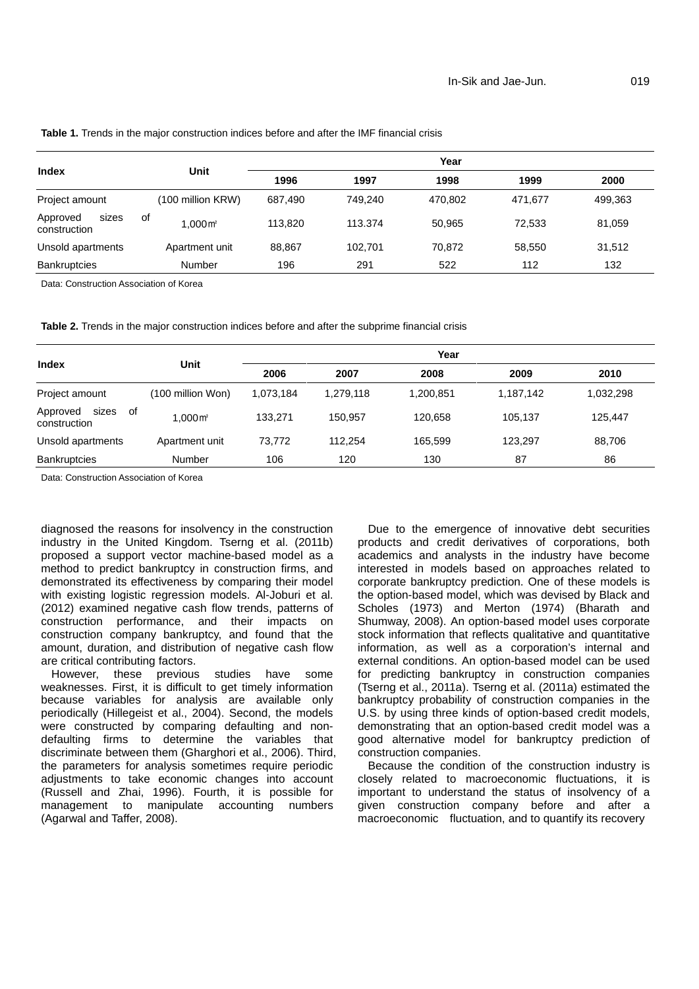### **Table 1.** Trends in the major construction indices before and after the IMF financial crisis

|                                   | <b>Unit</b>                  | Year    |         |         |         |         |
|-----------------------------------|------------------------------|---------|---------|---------|---------|---------|
| <b>Index</b>                      |                              | 1996    | 1997    | 1998    | 1999    | 2000    |
| Project amount                    | (100 million KRW)            | 687.490 | 749.240 | 470.802 | 471.677 | 499,363 |
| Approved<br>sizes<br>construction | 0f<br>$1.000 \,\mathrm{m}^2$ | 113.820 | 113.374 | 50.965  | 72.533  | 81,059  |
| Unsold apartments                 | Apartment unit               | 88.867  | 102.701 | 70.872  | 58.550  | 31,512  |
| <b>Bankruptcies</b>               | Number                       | 196     | 291     | 522     | 112     | 132     |

Data: Construction Association of Korea

**Table 2.** Trends in the major construction indices before and after the subprime financial crisis

|                                         | Unit                   | Year      |           |           |           |           |  |
|-----------------------------------------|------------------------|-----------|-----------|-----------|-----------|-----------|--|
| Index                                   |                        | 2006      | 2007      | 2008      | 2009      | 2010      |  |
| Project amount                          | (100 million Won)      | 1.073.184 | 1,279,118 | 1,200,851 | 1,187,142 | 1,032,298 |  |
| sizes<br>Approved<br>of<br>construction | $1.000 \,\mathrm{m}^2$ | 133.271   | 150.957   | 120.658   | 105,137   | 125,447   |  |
| Unsold apartments                       | Apartment unit         | 73.772    | 112.254   | 165.599   | 123.297   | 88,706    |  |
| <b>Bankruptcies</b>                     | Number                 | 106       | 120       | 130       | 87        | 86        |  |

Data: Construction Association of Korea

diagnosed the reasons for insolvency in the construction industry in the United Kingdom. Tserng et al. (2011b) proposed a support vector machine-based model as a method to predict bankruptcy in construction firms, and demonstrated its effectiveness by comparing their model with existing logistic regression models. Al-Joburi et al. (2012) examined negative cash flow trends, patterns of construction performance, and their impacts on construction company bankruptcy, and found that the amount, duration, and distribution of negative cash flow are critical contributing factors.

However, these previous studies have some weaknesses. First, it is difficult to get timely information because variables for analysis are available only periodically (Hillegeist et al., 2004). Second, the models were constructed by comparing defaulting and non defaulting firms to determine the variables that discriminate between them (Gharghori et al., 2006). Third, the parameters for analysis sometimes require periodic adjustments to take economic changes into account (Russell and Zhai, 1996). Fourth, it is possible for management to manipulate accounting numbers (Agarwal and Taffer, 2008).

Due to the emergence of innovative debt securities products and credit derivatives of corporations, both academics and analysts in the industry have become interested in models based on approaches related to corporate bankruptcy prediction. One of these models is the option-based model, which was devised by Black and Scholes (1973) and Merton (1974) (Bharath and Shumway, 2008). An option-based model uses corporate stock information that reflects qualitative and quantitative information, as well as a corporation's internal and external conditions. An option-based model can be used for predicting bankruptcy in construction companies (Tserng et al., 2011a). Tserng et al. (2011a) estimated the bankruptcy probability of construction companies in the U.S. by using three kinds of option-based credit models, demonstrating that an option-based credit model was a good alternative model for bankruptcy prediction of construction companies.

Because the condition of the construction industry is closely related to macroeconomic fluctuations, it is important to understand the status of insolvency of a given construction company before and after a macroeconomic fluctuation, and to quantify its recovery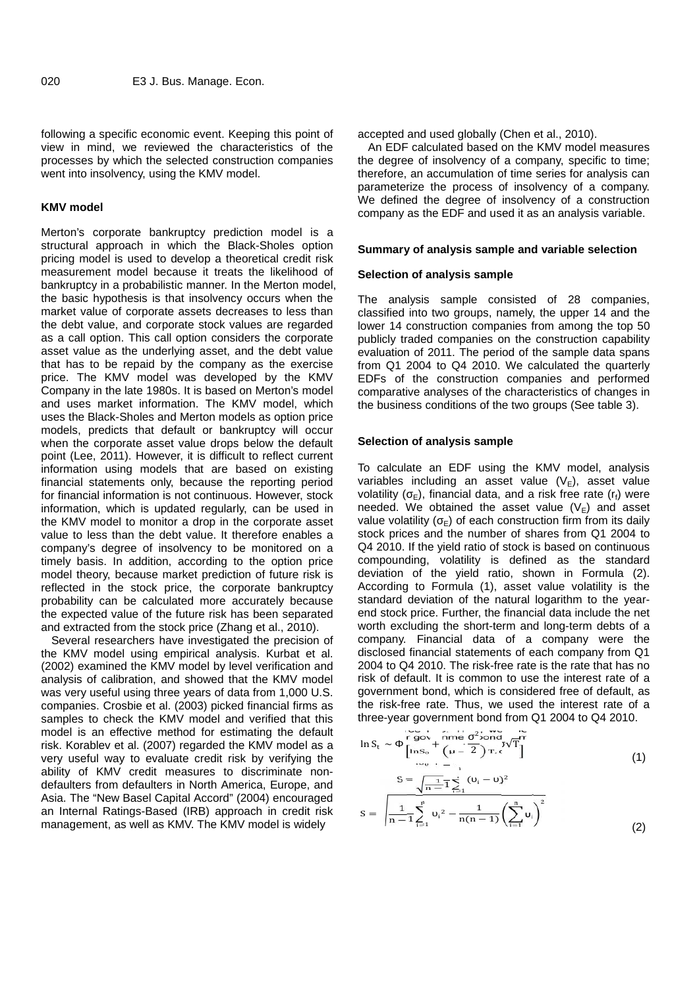following a specific economic event. Keeping this point of view in mind, we reviewed the characteristics of the processes by which the selected construction companies went into insolvency, using the KMV model.

#### **KMV model**

Merton's corporate bankruptcy prediction model is a structural approach in which the Black-Sholes option pricing model is used to develop a theoretical credit risk measurement model because it treats the likelihood of bankruptcy in a probabilistic manner. In the Merton model, the basic hypothesis is that insolvency occurs when the market value of corporate assets decreases to less than the debt value, and corporate stock values are regarded as a call option. This call option considers the corporate asset value as the underlying asset, and the debt value that has to be repaid by the company as the exercise price. The KMV model was developed by the KMV Company in the late 1980s. It is based on Merton's model and uses market information. The KMV model, which uses the Black-Sholes and Merton models as option price models, predicts that default or bankruptcy will occur when the corporate asset value drops below the default point (Lee, 2011). However, it is difficult to reflect current information using models that are based on existing financial statements only, because the reporting period for financial information is not continuous. However, stock information, which is updated regularly, can be used in the KMV model to monitor a drop in the corporate asset value to less than the debt value. It therefore enables a company's degree of insolvency to be monitored on a timely basis. In addition, according to the option price model theory, because market prediction of future risk is reflected in the stock price, the corporate bankruptcy probability can be calculated more accurately because the expected value of the future risk has been separated and extracted from the stock price (Zhang et al., 2010).

Several researchers have investigated the precision of the KMV model using empirical analysis. Kurbat et al. (2002) examined the KMV model by level verification and analysis of calibration, and showed that the KMV model was very useful using three years of data from 1,000 U.S. companies. Crosbie et al. (2003) picked financial firms as samples to check the KMV model and verified that this model is an effective method for estimating the default risk. Korablev et al. (2007) regarded the KMV model as a very useful way to evaluate credit risk by verifying the ability of KMV credit measures to discriminate non defaulters from defaulters in North America, Europe, and Asia. The "New Basel Capital Accord" (2004) encouraged an Internal Ratings-Based (IRB) approach in credit risk management, as well as KMV. The KMV model is widely

accepted and used globally (Chen et al., 2010).

An EDF calculated based on the KMV model measures the degree of insolvency of a company, specific to time; therefore, an accumulation of time series for analysis can parameterize the process of insolvency of a company. We defined the degree of insolvency of a construction company as the EDF and used it as an analysis variable.

#### **Summary of analysis sample and variable selection**

#### **Selection of analysis sample**

The analysis sample consisted of 28 companies, classified into two groups, namely, the upper 14 and the lower 14 construction companies from among the top 50 publicly traded companies on the construction capability evaluation of 2011. The period of the sample data spans from Q1 2004 to Q4 2010. We calculated the quarterly EDFs of the construction companies and performed comparative analyses of the characteristics of changes in the business conditions of the two groups (See table 3).

# **Selection of analysis sample**

To calculate an EDF using the KMV model, analysis variables including an asset value  $(V_E)$ , asset value volatility  $(E)$ , financial data, and a risk free rate (r<sub>f</sub>) were needed. We obtained the asset value  $(V_E)$  and asset value volatility  $(F)$  of each construction firm from its daily stock prices and the number of shares from Q1 2004 to Q4 2010. If the yield ratio of stock is based on continuous compounding, volatility is defined as the standard deviation of the yield ratio, shown in Formula (2). According to Formula (1), asset value volatility is the standard deviation of the natural logarithm to the year end stock price. Further, the financial data include the net worth excluding the short-term and long-term debts of a company. Financial data of a company were the disclosed financial statements of each company from Q1 2004 to Q4 2010. The risk-free rate is the rate that has no risk of default. It is common to use the interest rate of a government bond, which is considered free of default, as the risk-free rate. Thus, we used the interest rate of a three-year government bond from Q1 2004 to Q4 2010.

$$
\ln S_{t} \sim \left[\begin{array}{cc} \text{rgov\_nme} & \frac{2 \text{cond}}{2 \text{ on d}} \sqrt{T} \\ \left[\ln S_{0} + \left(\mu - 2\right) T_{\text{c}} \sqrt{T}\right] \end{array}\right] \tag{1}
$$
\n
$$
S = \sqrt{\frac{1}{n-1}} \sum_{i=1}^{n} (-i - i)^{2}
$$
\n
$$
S = \sqrt{\frac{1}{n-1}} \sum_{i=1}^{n} i^{2} - \frac{1}{n(n-1)} \left(\sum_{i=1}^{n} u_{i}\right)^{2}
$$
\n
$$
(2)
$$

and the state of the state of the state of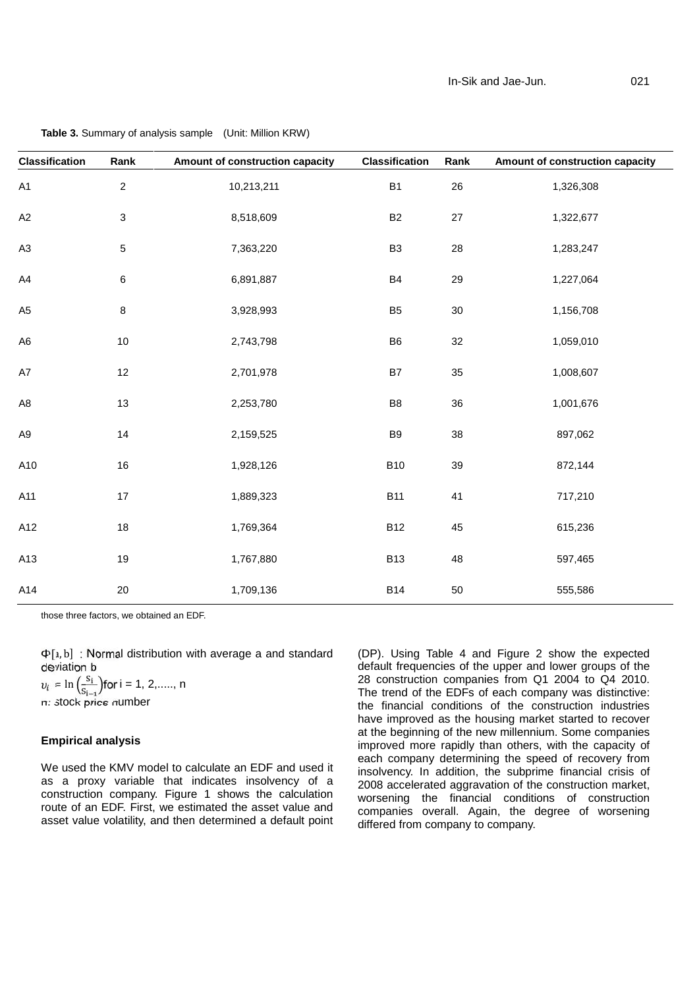| <b>Classification</b> | Rank             | Amount of construction capacity | <b>Classification</b> | Rank       | Amount of construction capacity |
|-----------------------|------------------|---------------------------------|-----------------------|------------|---------------------------------|
| A1                    | $\boldsymbol{2}$ | 10,213,211                      | <b>B1</b>             | $26\,$     | 1,326,308                       |
| $A2\,$                | $\sqrt{3}$       | 8,518,609                       | $\mathsf{B2}$         | $27\,$     | 1,322,677                       |
| A <sub>3</sub>        | $\,$ 5 $\,$      | 7,363,220                       | B <sub>3</sub>        | ${\bf 28}$ | 1,283,247                       |
| $\mathsf{A4}$         | $\,6\,$          | 6,891,887                       | <b>B4</b>             | 29         | 1,227,064                       |
| A <sub>5</sub>        | $\,8\,$          | 3,928,993                       | B <sub>5</sub>        | $30\,$     | 1,156,708                       |
| A <sub>6</sub>        | $10\,$           | 2,743,798                       | ${\sf B6}$            | $32\,$     | 1,059,010                       |
| A7                    | $12$             | 2,701,978                       | $\mathsf{B7}$         | 35         | 1,008,607                       |
| A8                    | $13$             | 2,253,780                       | B8                    | 36         | 1,001,676                       |
| A <sub>9</sub>        | 14               | 2,159,525                       | ${\sf B}9$            | 38         | 897,062                         |
| A10                   | $16\,$           | 1,928,126                       | <b>B10</b>            | 39         | 872,144                         |
| A11                   | $17$             | 1,889,323                       | <b>B11</b>            | 41         | 717,210                         |
| A12                   | $18\,$           | 1,769,364                       | <b>B12</b>            | 45         | 615,236                         |
| A13                   | $19$             | 1,767,880                       | <b>B13</b>            | 48         | 597,465                         |
| A14                   | 20               | 1,709,136                       | <b>B14</b>            | 50         | 555,586                         |

## **Table 3.** Summary of analysis sample (Unit: Million KRW)

those three factors, we obtained an EDF.

 $\Phi[a, b]$  : Normal distribution with average a and standard deviation b

 $v_i = \ln \left( \frac{s_i}{s_{i-1}} \right)$ for i = 1, 2,....., n n: stock price number

## **Empirical analysis**

We used the KMV model to calculate an EDF and used it as a proxy variable that indicates insolvency of a construction company. Figure 1 shows the calculation route of an EDF. First, we estimated the asset value and asset value volatility, and then determined a default point (DP). Using Table 4 and Figure 2 show the expected default frequencies of the upper and lower groups of the 28 construction companies from Q1 2004 to Q4 2010. The trend of the EDFs of each company was distinctive: the financial conditions of the construction industries have improved as the housing market started to recover at the beginning of the new millennium. Some companies improved more rapidly than others, with the capacity of each company determining the speed of recovery from insolvency. In addition, the subprime financial crisis of 2008 accelerated aggravation of the construction market, worsening the financial conditions of construction companies overall. Again, the degree of worsening differed from company to company.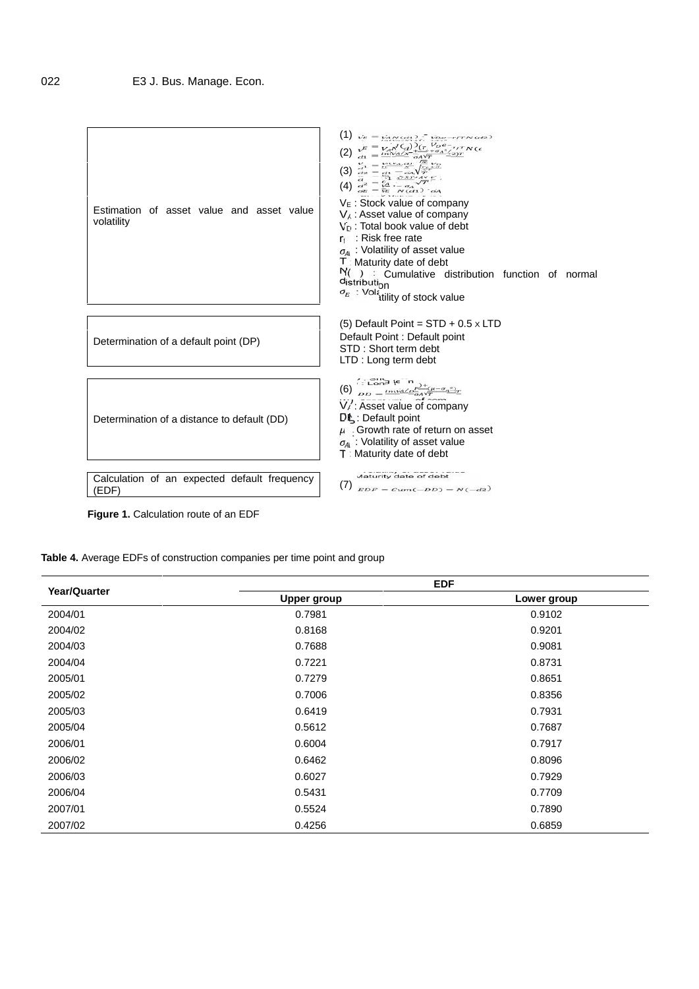

**Figure 1.** Calculation route of an EDF

**Table 4.** Average EDFs of construction companies per time point and group

| Year/Quarter | <b>EDF</b>         |             |  |  |  |
|--------------|--------------------|-------------|--|--|--|
|              | <b>Upper group</b> | Lower group |  |  |  |
| 2004/01      | 0.7981             | 0.9102      |  |  |  |
| 2004/02      | 0.8168             | 0.9201      |  |  |  |
| 2004/03      | 0.7688             | 0.9081      |  |  |  |
| 2004/04      | 0.7221             | 0.8731      |  |  |  |
| 2005/01      | 0.7279             | 0.8651      |  |  |  |
| 2005/02      | 0.7006             | 0.8356      |  |  |  |
| 2005/03      | 0.6419             | 0.7931      |  |  |  |
| 2005/04      | 0.5612             | 0.7687      |  |  |  |
| 2006/01      | 0.6004             | 0.7917      |  |  |  |
| 2006/02      | 0.6462             | 0.8096      |  |  |  |
| 2006/03      | 0.6027             | 0.7929      |  |  |  |
| 2006/04      | 0.5431             | 0.7709      |  |  |  |
| 2007/01      | 0.5524             | 0.7890      |  |  |  |
| 2007/02      | 0.4256             | 0.6859      |  |  |  |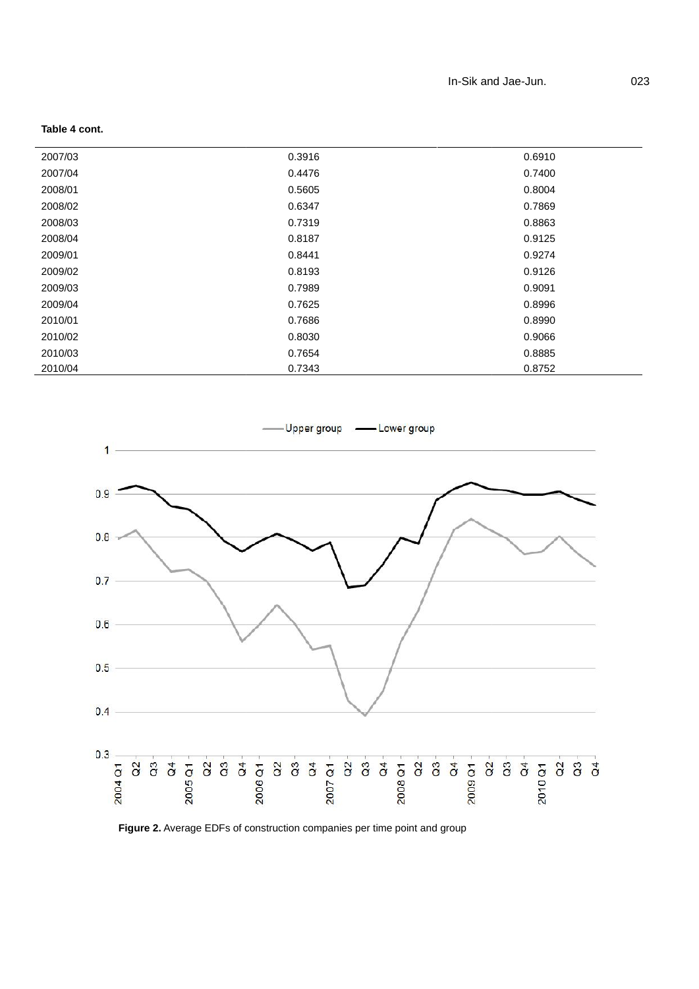| 2007/03 | 0.3916 | 0.6910 |
|---------|--------|--------|
| 2007/04 | 0.4476 | 0.7400 |
| 2008/01 | 0.5605 | 0.8004 |
| 2008/02 | 0.6347 | 0.7869 |
| 2008/03 | 0.7319 | 0.8863 |
| 2008/04 | 0.8187 | 0.9125 |
| 2009/01 | 0.8441 | 0.9274 |
| 2009/02 | 0.8193 | 0.9126 |
| 2009/03 | 0.7989 | 0.9091 |
| 2009/04 | 0.7625 | 0.8996 |
| 2010/01 | 0.7686 | 0.8990 |
| 2010/02 | 0.8030 | 0.9066 |
| 2010/03 | 0.7654 | 0.8885 |
| 2010/04 | 0.7343 | 0.8752 |

**Table 4 cont.**



**Figure 2.** Average EDFs of construction companies per time point and group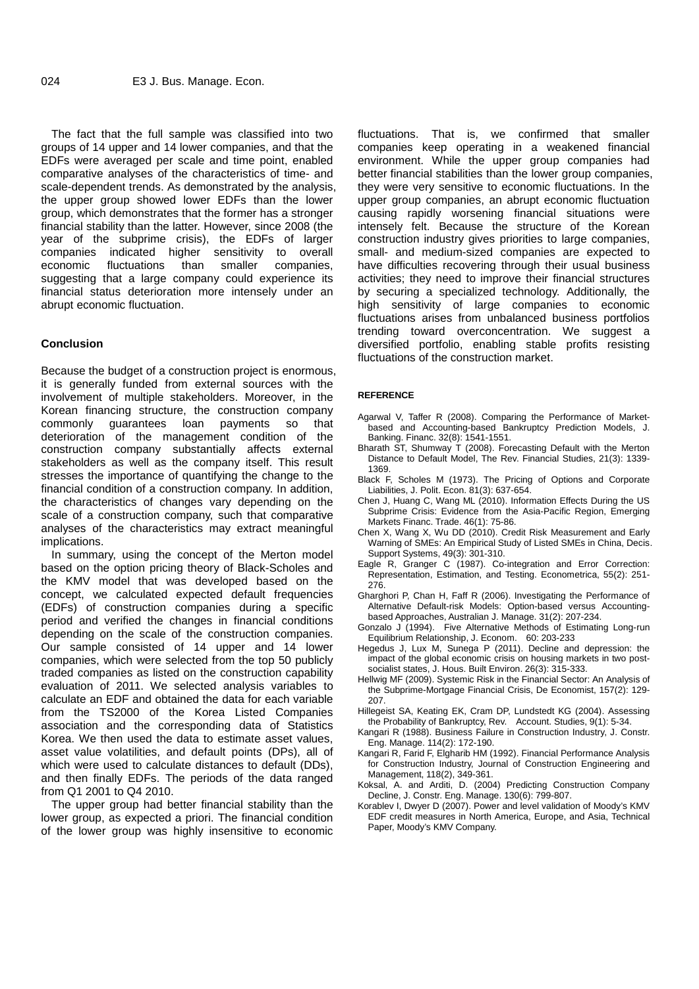The fact that the full sample was classified into two groups of 14 upper and 14 lower companies, and that the EDFs were averaged per scale and time point, enabled comparative analyses of the characteristics of time- and scale-dependent trends. As demonstrated by the analysis, the upper group showed lower EDFs than the lower group, which demonstrates that the former has a stronger financial stability than the latter. However, since 2008 (the year of the subprime crisis), the EDFs of larger companies indicated higher sensitivity to overall economic fluctuations than smaller companies, suggesting that a large company could experience its financial status deterioration more intensely under an abrupt economic fluctuation.

## **Conclusion**

Because the budget of a construction project is enormous, it is generally funded from external sources with the involvement of multiple stakeholders. Moreover, in the Korean financing structure, the construction company commonly guarantees loan payments so that deterioration of the management condition of the construction company substantially affects external stakeholders as well as the company itself. This result stresses the importance of quantifying the change to the financial condition of a construction company. In addition, the characteristics of changes vary depending on the scale of a construction company, such that comparative analyses of the characteristics may extract meaningful implications.

In summary, using the concept of the Merton model based on the option pricing theory of Black-Scholes and the KMV model that was developed based on the concept, we calculated expected default frequencies (EDFs) of construction companies during a specific period and verified the changes in financial conditions depending on the scale of the construction companies. Our sample consisted of 14 upper and 14 lower companies, which were selected from the top 50 publicly traded companies as listed on the construction capability evaluation of 2011. We selected analysis variables to calculate an EDF and obtained the data for each variable from the TS2000 of the Korea Listed Companies association and the corresponding data of Statistics Korea. We then used the data to estimate asset values, asset value volatilities, and default points (DPs), all of which were used to calculate distances to default (DDs), and then finally EDFs. The periods of the data ranged from Q1 2001 to Q4 2010.

The upper group had better financial stability than the lower group, as expected a priori. The financial condition of the lower group was highly insensitive to economic fluctuations. That is, we confirmed that smaller companies keep operating in a weakened financial environment. While the upper group companies had better financial stabilities than the lower group companies, they were very sensitive to economic fluctuations. In the upper group companies, an abrupt economic fluctuation causing rapidly worsening financial situations were intensely felt. Because the structure of the Korean construction industry gives priorities to large companies, small- and medium-sized companies are expected to have difficulties recovering through their usual business activities; they need to improve their financial structures by securing a specialized technology. Additionally, the high sensitivity of large companies to economic fluctuations arises from unbalanced business portfolios trending toward overconcentration. We suggest a diversified portfolio, enabling stable profits resisting fluctuations of the construction market.

#### **REFERENCE**

- Agarwal V, Taffer R (2008). Comparing the Performance of Market based and Accounting-based Bankruptcy Prediction Models, J. Banking. Financ. 32(8): 1541-1551.
- Bharath  $ST$ , Shumway T (2008). Forecasting Default with the Merton Distance to Default Model, The Rev. Financial Studies, 21(3): 1339- 1369.
- Black F, Scholes M (1973). The Pricing of Options and Corporate Liabilities, J. Polit. Econ. 81(3): 637-654.
- Chen J, Huang C, Wang ML (2010). Information Effects During the US Subprime Crisis: Evidence from the Asia-Pacific Region, Emerging Markets Financ. Trade. 46(1): 75-86.
- Chen X, Wang X, Wu DD (2010). Credit Risk Measurement and Early Warning of SMEs: An Empirical Study of Listed SMEs in China, Decis. Support Systems, 49(3): 301-310.
- Eagle R, Granger C (1987). Co-integration and Error Correction: Representation, Estimation, and Testing. Econometrica, 55(2): 251- 276.
- Gharghori P, Chan H, Faff R (2006). Investigating the Performance of Alternative Default-risk Models: Option-based versus Accounting based Approaches, Australian J. Manage. 31(2): 207-234.
- Gonzalo J (1994). Five Alternative Methods of Estimating Long-run Equilibrium Relationship, J. Econom. 60: 203-233
- Hegedus J, Lux M, Sunega P (2011). Decline and depression: the impact of the global economic crisis on housing markets in two post socialist states, J. Hous. Built Environ. 26(3): 315-333.
- Hellwig MF (2009). Systemic Risk in the Financial Sector: An Analysis of the Subprime-Mortgage Financial Crisis, De Economist, 157(2): 129- 207.
- Hillegeist SA, Keating EK, Cram DP, Lundstedt KG (2004). Assessing the Probability of Bankruptcy, Rev. Account. Studies, 9(1): 5-34.
- Kangari R (1988). Business Failure in Construction Industry, J. Constr. Eng. Manage. 114(2): 172-190.
- Kangari R, Farid F, Elgharib HM (1992). Financial Performance Analysis for Construction Industry, Journal of Construction Engineering and Management, 118(2), 349-361.
- Koksal, A. and Arditi, D. (2004) Predicting Construction Company Decline, J. Constr. Eng. Manage. 130(6): 799-807.
- Korablev I, Dwyer D (2007). Power and level validation of Moody's KMV EDF credit measures in North America, Europe, and Asia, Technical Paper, Moody's KMV Company.